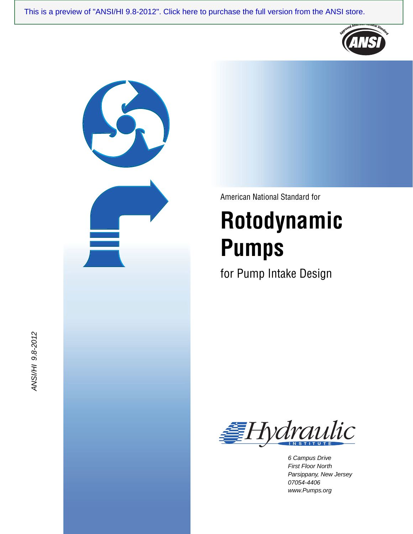[This is a preview of "ANSI/HI 9.8-2012". Click here to purchase the full version from the ANSI store.](https://webstore.ansi.org/Standards/HI/ANSIHI2012-1447220?source=preview)





American National Standard for

# **Rotodynamic Pumps**

for Pump Intake Design



*6 Campus Drive First Floor North Parsippany, New Jersey 07054-4406 [www.Pumps.org](http://www.pumps.org)*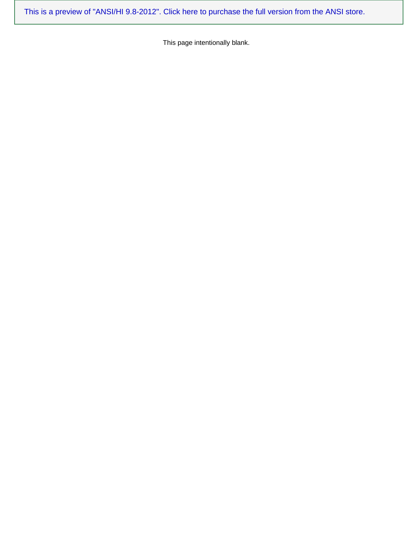[This is a preview of "ANSI/HI 9.8-2012". Click here to purchase the full version from the ANSI store.](https://webstore.ansi.org/Standards/HI/ANSIHI2012-1447220?source=preview)

This page intentionally blank.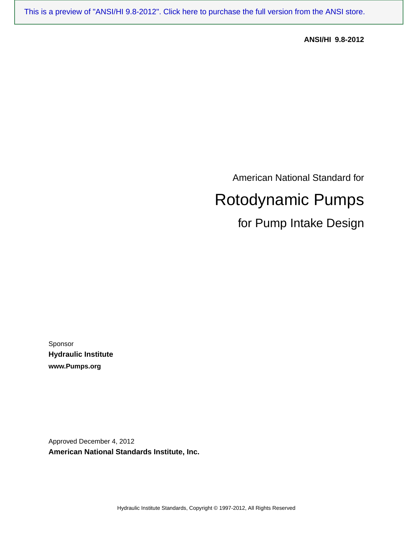[This is a preview of "ANSI/HI 9.8-2012". Click here to purchase the full version from the ANSI store.](https://webstore.ansi.org/Standards/HI/ANSIHI2012-1447220?source=preview)

**ANSI/HI 9.8-2012**

American National Standard for

# Rotodynamic Pumps

## for Pump Intake Design

Sponsor **Hydraulic Institute [www.Pumps.org](http://www.pumps.org)**

Approved December 4, 2012 **American National Standards Institute, Inc.**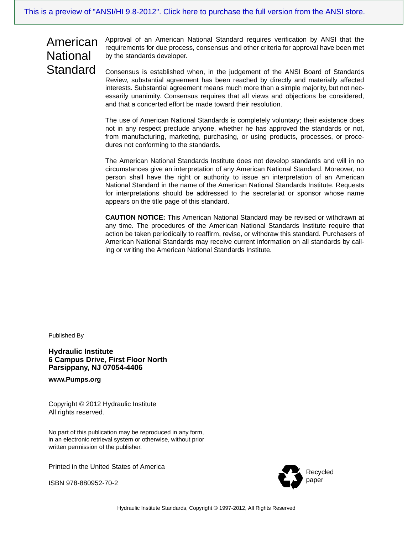### American **National Standard**

Approval of an American National Standard requires verification by ANSI that the requirements for due process, consensus and other criteria for approval have been met by the standards developer.

Consensus is established when, in the judgement of the ANSI Board of Standards Review, substantial agreement has been reached by directly and materially affected interests. Substantial agreement means much more than a simple majority, but not necessarily unanimity. Consensus requires that all views and objections be considered, and that a concerted effort be made toward their resolution.

The use of American National Standards is completely voluntary; their existence does not in any respect preclude anyone, whether he has approved the standards or not, from manufacturing, marketing, purchasing, or using products, processes, or procedures not conforming to the standards.

The American National Standards Institute does not develop standards and will in no circumstances give an interpretation of any American National Standard. Moreover, no person shall have the right or authority to issue an interpretation of an American National Standard in the name of the American National Standards Institute. Requests for interpretations should be addressed to the secretariat or sponsor whose name appears on the title page of this standard.

**CAUTION NOTICE:** This American National Standard may be revised or withdrawn at any time. The procedures of the American National Standards Institute require that action be taken periodically to reaffirm, revise, or withdraw this standard. Purchasers of American National Standards may receive current information on all standards by calling or writing the American National Standards Institute.

Published By

**Hydraulic Institute 6 Campus Drive, First Floor North Parsippany, NJ 07054-4406**

**[www.Pumps.org](http://www.pumps.org)**

Copyright © 2012 Hydraulic Institute All rights reserved.

No part of this publication may be reproduced in any form, in an electronic retrieval system or otherwise, without prior written permission of the publisher.

Printed in the United States of America

ISBN 978-880952-70-2

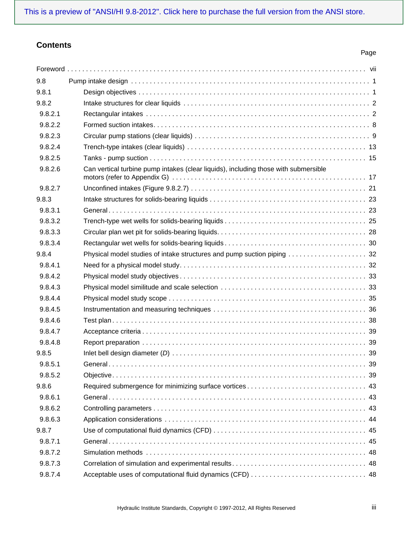#### **Contents**

| 9.8     |                                                                                     |
|---------|-------------------------------------------------------------------------------------|
| 9.8.1   |                                                                                     |
| 9.8.2   |                                                                                     |
| 9.8.2.1 |                                                                                     |
| 9.8.2.2 |                                                                                     |
| 9.8.2.3 |                                                                                     |
| 9.8.2.4 |                                                                                     |
| 9.8.2.5 |                                                                                     |
| 9.8.2.6 | Can vertical turbine pump intakes (clear liquids), including those with submersible |
| 9.8.2.7 |                                                                                     |
| 9.8.3   |                                                                                     |
| 9.8.3.1 |                                                                                     |
| 9.8.3.2 |                                                                                     |
| 9.8.3.3 |                                                                                     |
| 9.8.3.4 |                                                                                     |
| 9.8.4   |                                                                                     |
| 9.8.4.1 |                                                                                     |
| 9.8.4.2 |                                                                                     |
| 9.8.4.3 |                                                                                     |
| 9.8.4.4 |                                                                                     |
| 9.8.4.5 |                                                                                     |
| 9.8.4.6 |                                                                                     |
| 9.8.4.7 |                                                                                     |
| 9.8.4.8 |                                                                                     |
| 9.8.5   |                                                                                     |
| 9.8.5.1 |                                                                                     |
| 9.8.5.2 |                                                                                     |
| 9.8.6   |                                                                                     |
| 9.8.6.1 |                                                                                     |
| 9.8.6.2 |                                                                                     |
| 9.8.6.3 |                                                                                     |
| 9.8.7   |                                                                                     |
| 9.8.7.1 |                                                                                     |
| 9.8.7.2 |                                                                                     |
| 9.8.7.3 |                                                                                     |
| 9.8.7.4 |                                                                                     |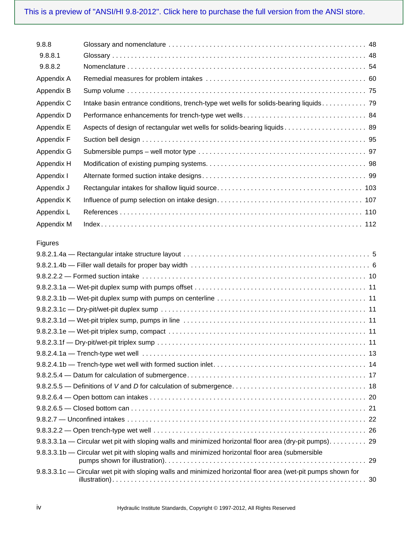| 9.8.8      |                                                                                                               |
|------------|---------------------------------------------------------------------------------------------------------------|
| 9.8.8.1    |                                                                                                               |
| 9.8.8.2    |                                                                                                               |
| Appendix A |                                                                                                               |
| Appendix B |                                                                                                               |
| Appendix C |                                                                                                               |
| Appendix D |                                                                                                               |
| Appendix E |                                                                                                               |
| Appendix F |                                                                                                               |
| Appendix G |                                                                                                               |
| Appendix H |                                                                                                               |
| Appendix I |                                                                                                               |
| Appendix J |                                                                                                               |
| Appendix K |                                                                                                               |
| Appendix L |                                                                                                               |
| Appendix M |                                                                                                               |
|            |                                                                                                               |
| Figures    |                                                                                                               |
|            |                                                                                                               |
|            |                                                                                                               |
|            |                                                                                                               |
|            |                                                                                                               |
|            |                                                                                                               |
|            |                                                                                                               |
|            |                                                                                                               |
|            |                                                                                                               |
|            |                                                                                                               |
|            |                                                                                                               |
|            |                                                                                                               |
|            |                                                                                                               |
|            |                                                                                                               |
|            |                                                                                                               |
|            |                                                                                                               |
|            |                                                                                                               |
|            |                                                                                                               |
|            | 9.8.3.3.1a — Circular wet pit with sloping walls and minimized horizontal floor area (dry-pit pumps) 29       |
|            | 9.8.3.3.1b — Circular wet pit with sloping walls and minimized horizontal floor area (submersible             |
|            | 9.8.3.3.1c — Circular wet pit with sloping walls and minimized horizontal floor area (wet-pit pumps shown for |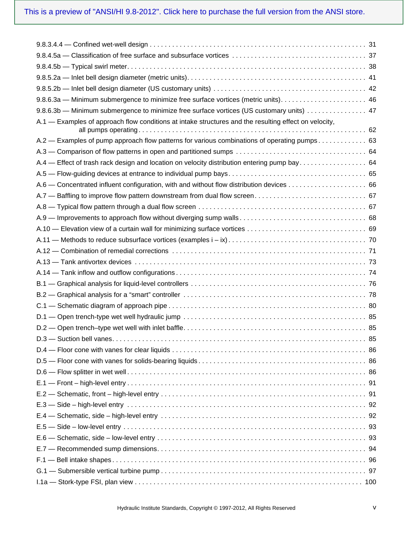| 9.8.6.3b - Minimum submergence to minimize free surface vortices (US customary units)  47             |  |
|-------------------------------------------------------------------------------------------------------|--|
| A.1 - Examples of approach flow conditions at intake structures and the resulting effect on velocity, |  |
| A.2 — Examples of pump approach flow patterns for various combinations of operating pumps 63          |  |
|                                                                                                       |  |
| A.4 - Effect of trash rack design and location on velocity distribution entering pump bay 64          |  |
|                                                                                                       |  |
|                                                                                                       |  |
|                                                                                                       |  |
|                                                                                                       |  |
|                                                                                                       |  |
|                                                                                                       |  |
|                                                                                                       |  |
|                                                                                                       |  |
|                                                                                                       |  |
|                                                                                                       |  |
|                                                                                                       |  |
|                                                                                                       |  |
|                                                                                                       |  |
|                                                                                                       |  |
|                                                                                                       |  |
|                                                                                                       |  |
|                                                                                                       |  |
|                                                                                                       |  |
|                                                                                                       |  |
|                                                                                                       |  |
|                                                                                                       |  |
|                                                                                                       |  |
|                                                                                                       |  |
|                                                                                                       |  |
|                                                                                                       |  |
|                                                                                                       |  |
|                                                                                                       |  |
|                                                                                                       |  |
|                                                                                                       |  |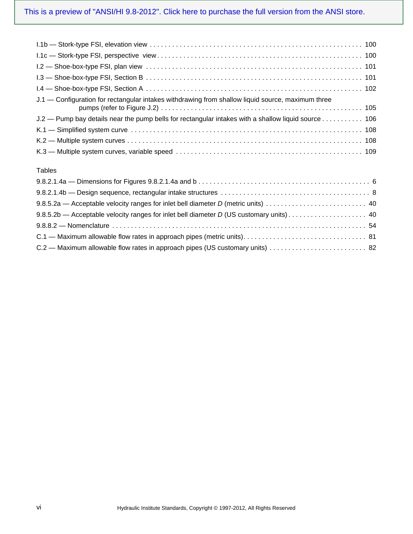| J.1 - Configuration for rectangular intakes withdrawing from shallow liquid source, maximum three   |  |
|-----------------------------------------------------------------------------------------------------|--|
|                                                                                                     |  |
| J.2 — Pump bay details near the pump bells for rectangular intakes with a shallow liquid source 106 |  |
|                                                                                                     |  |
|                                                                                                     |  |
|                                                                                                     |  |
|                                                                                                     |  |

#### Tables

| C.2 — Maximum allowable flow rates in approach pipes (US customary units)  82 |  |
|-------------------------------------------------------------------------------|--|
|                                                                               |  |